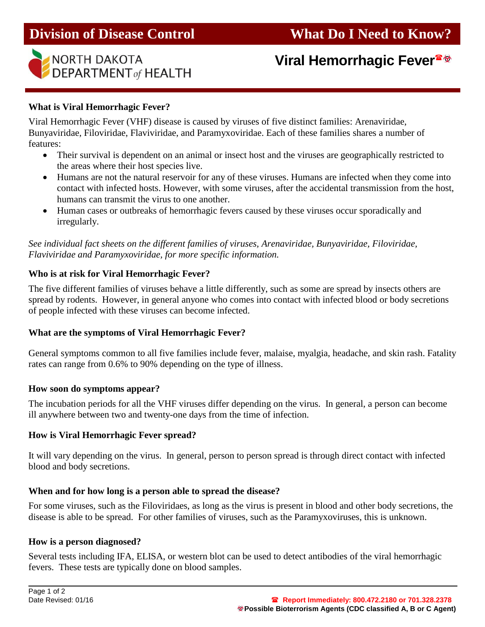

# **Viral Hemorrhagic Fever**

# **What is Viral Hemorrhagic Fever?**

Viral Hemorrhagic Fever (VHF) disease is caused by viruses of five distinct families: Arenaviridae, Bunyaviridae, Filoviridae, Flaviviridae, and Paramyxoviridae. Each of these families shares a number of features:

- Their survival is dependent on an animal or insect host and the viruses are geographically restricted to the areas where their host species live.
- Humans are not the natural reservoir for any of these viruses. Humans are infected when they come into contact with infected hosts. However, with some viruses, after the accidental transmission from the host, humans can transmit the virus to one another.
- Human cases or outbreaks of hemorrhagic fevers caused by these viruses occur sporadically and irregularly.

*See individual fact sheets on the different families of viruses, Arenaviridae, Bunyaviridae, Filoviridae, Flaviviridae and Paramyxoviridae, for more specific information.*

## **Who is at risk for Viral Hemorrhagic Fever?**

The five different families of viruses behave a little differently, such as some are spread by insects others are spread by rodents. However, in general anyone who comes into contact with infected blood or body secretions of people infected with these viruses can become infected.

## **What are the symptoms of Viral Hemorrhagic Fever?**

General symptoms common to all five families include fever, malaise, myalgia, headache, and skin rash. Fatality rates can range from 0.6% to 90% depending on the type of illness.

#### **How soon do symptoms appear?**

The incubation periods for all the VHF viruses differ depending on the virus. In general, a person can become ill anywhere between two and twenty-one days from the time of infection.

## **How is Viral Hemorrhagic Fever spread?**

It will vary depending on the virus. In general, person to person spread is through direct contact with infected blood and body secretions.

#### **When and for how long is a person able to spread the disease?**

For some viruses, such as the Filoviridaes, as long as the virus is present in blood and other body secretions, the disease is able to be spread. For other families of viruses, such as the Paramyxoviruses, this is unknown.

#### **How is a person diagnosed?**

Several tests including IFA, ELISA, or western blot can be used to detect antibodies of the viral hemorrhagic fevers. These tests are typically done on blood samples.